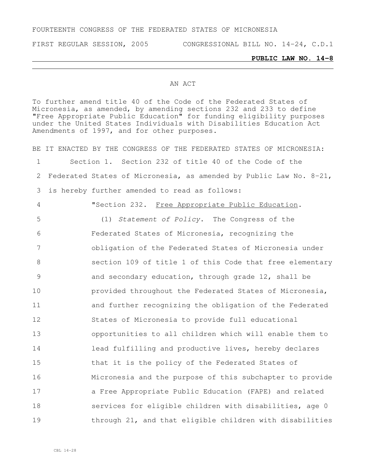#### FOURTEENTH CONGRESS OF THE FEDERATED STATES OF MICRONESIA

FIRST REGULAR SESSION, 2005 CONGRESSIONAL BILL NO. 14-24, C.D.1

#### **PUBLIC LAW NO. 14-8**

#### AN ACT

To further amend title 40 of the Code of the Federated States of Micronesia, as amended, by amending sections 232 and 233 to define "Free Appropriate Public Education" for funding eligibility purposes under the United States Individuals with Disabilities Education Act Amendments of 1997, and for other purposes.

BE IT ENACTED BY THE CONGRESS OF THE FEDERATED STATES OF MICRONESIA: Section 1. Section 232 of title 40 of the Code of the Federated States of Micronesia, as amended by Public Law No. 8-21, is hereby further amended to read as follows:

 "Section 232. Free Appropriate Public Education. (1) *Statement of Policy*. The Congress of the Federated States of Micronesia, recognizing the obligation of the Federated States of Micronesia under section 109 of title 1 of this Code that free elementary and secondary education, through grade 12, shall be **provided throughout the Federated States of Micronesia**, and further recognizing the obligation of the Federated States of Micronesia to provide full educational opportunities to all children which will enable them to **and lead fulfilling and productive lives, hereby declares**  that it is the policy of the Federated States of Micronesia and the purpose of this subchapter to provide **a** Free Appropriate Public Education (FAPE) and related **Services for eligible children with disabilities, age 0** through 21, and that eligible children with disabilities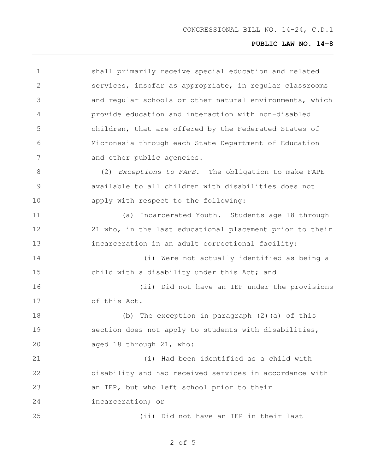| $\mathbf 1$    | shall primarily receive special education and related    |
|----------------|----------------------------------------------------------|
| $\mathbf{2}$   | services, insofar as appropriate, in regular classrooms  |
| 3              | and regular schools or other natural environments, which |
| 4              | provide education and interaction with non-disabled      |
| 5              | children, that are offered by the Federated States of    |
| 6              | Micronesia through each State Department of Education    |
| 7              | and other public agencies.                               |
| $8\,$          | (2) Exceptions to FAPE. The obligation to make FAPE      |
| $\overline{9}$ | available to all children with disabilities does not     |
| 10             | apply with respect to the following:                     |
| 11             | Incarcerated Youth. Students age 18 through<br>(a)       |
| 12             | 21 who, in the last educational placement prior to their |
| 13             | incarceration in an adult correctional facility:         |
| 14             | (i) Were not actually identified as being a              |
| 15             | child with a disability under this Act; and              |
| 16             | (ii) Did not have an IEP under the provisions            |
| 17             | of this Act.                                             |
| 18             | (b) The exception in paragraph (2) (a) of this           |
| 19             | section does not apply to students with disabilities,    |
| 20             | aged 18 through 21, who:                                 |
| 21             | (i) Had been identified as a child with                  |
| 22             | disability and had received services in accordance with  |
| 23             | an IEP, but who left school prior to their               |
| 24             | incarceration; or                                        |
| 25             | (ii) Did not have an IEP in their last                   |

#### of 5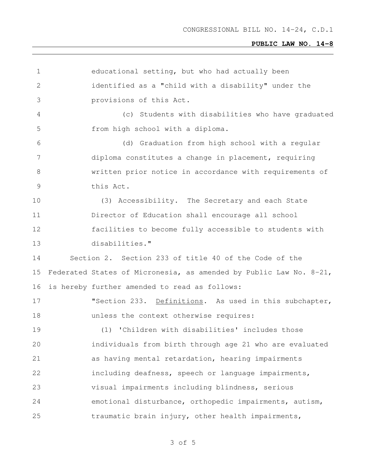| 1             | educational setting, but who had actually been                     |
|---------------|--------------------------------------------------------------------|
| $\mathbf{2}$  | identified as a "child with a disability" under the                |
| 3             | provisions of this Act.                                            |
| 4             | Students with disabilities who have graduated<br>(c)               |
| 5             | from high school with a diploma.                                   |
| 6             | (d) Graduation from high school with a regular                     |
| 7             | diploma constitutes a change in placement, requiring               |
| 8             | written prior notice in accordance with requirements of            |
| $\mathcal{G}$ | this Act.                                                          |
| 10            | (3) Accessibility. The Secretary and each State                    |
| 11            | Director of Education shall encourage all school                   |
| 12            | facilities to become fully accessible to students with             |
| 13            | disabilities."                                                     |
| 14            | Section 2. Section 233 of title 40 of the Code of the              |
| 15            | Federated States of Micronesia, as amended by Public Law No. 8-21, |
| 16            | is hereby further amended to read as follows:                      |
| 17            | "Section 233. Definitions. As used in this subchapter,             |
| 18            | unless the context otherwise requires:                             |
| 19            | (1) 'Children with disabilities' includes those                    |
| 20            | individuals from birth through age 21 who are evaluated            |
| 21            | as having mental retardation, hearing impairments                  |
| 22            | including deafness, speech or language impairments,                |
| 23            | visual impairments including blindness, serious                    |
| 24            | emotional disturbance, orthopedic impairments, autism,             |
| 25            | traumatic brain injury, other health impairments,                  |
|               |                                                                    |

of 5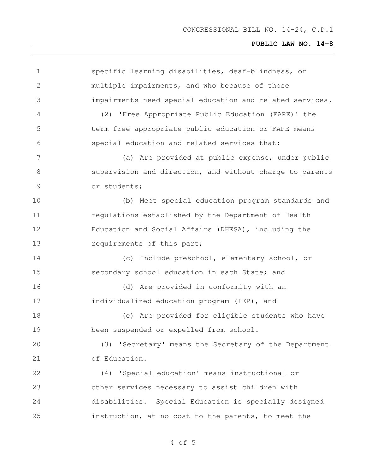| $\mathbf 1$ | specific learning disabilities, deaf-blindness, or       |
|-------------|----------------------------------------------------------|
| 2           | multiple impairments, and who because of those           |
| 3           | impairments need special education and related services. |
| 4           | (2) 'Free Appropriate Public Education (FAPE)' the       |
| 5           | term free appropriate public education or FAPE means     |
| 6           | special education and related services that:             |
| 7           | (a) Are provided at public expense, under public         |
| 8           | supervision and direction, and without charge to parents |
| 9           | or students;                                             |
| 10          | (b) Meet special education program standards and         |
| 11          | regulations established by the Department of Health      |
| 12          | Education and Social Affairs (DHESA), including the      |
| 13          | requirements of this part;                               |
| 14          | (c) Include preschool, elementary school, or             |
| 15          | secondary school education in each State; and            |
| 16          | (d) Are provided in conformity with an                   |
| 17          | individualized education program (IEP), and              |
| 18          | (e) Are provided for eligible students who have          |
| 19          | been suspended or expelled from school.                  |
| 20          | (3) 'Secretary' means the Secretary of the Department    |
| 21          | of Education.                                            |
| 22          | (4) 'Special education' means instructional or           |
| 23          | other services necessary to assist children with         |
| 24          | disabilities. Special Education is specially designed    |
| 25          | instruction, at no cost to the parents, to meet the      |
|             |                                                          |

of 5